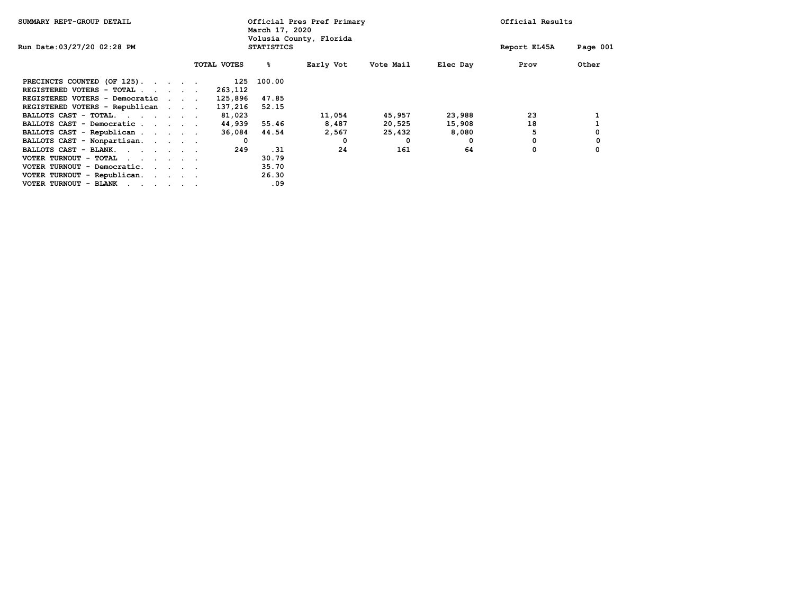| SUMMARY REPT-GROUP DETAIL                                                                                                                |                                     |  |                                              |             | Official Pres Pref Primary<br>March 17, 2020 |           |           |          | Official Results |          |  |
|------------------------------------------------------------------------------------------------------------------------------------------|-------------------------------------|--|----------------------------------------------|-------------|----------------------------------------------|-----------|-----------|----------|------------------|----------|--|
| Run Date: 03/27/20 02:28 PM                                                                                                              |                                     |  | Volusia County, Florida<br><b>STATISTICS</b> |             |                                              |           |           |          | Report EL45A     | Page 001 |  |
|                                                                                                                                          |                                     |  |                                              | TOTAL VOTES | နွ                                           | Early Vot | Vote Mail | Elec Day | Prov             | Other    |  |
| PRECINCTS COUNTED (OF 125).                                                                                                              |                                     |  |                                              | 125         | 100.00                                       |           |           |          |                  |          |  |
| REGISTERED VOTERS - TOTAL                                                                                                                |                                     |  |                                              | 263,112     |                                              |           |           |          |                  |          |  |
| REGISTERED VOTERS - Democratic                                                                                                           | $\sim$ $\sim$ $\sim$ $\sim$         |  |                                              | 125,896     | 47.85                                        |           |           |          |                  |          |  |
| REGISTERED VOTERS - Republican                                                                                                           |                                     |  |                                              | 137,216     | 52.15                                        |           |           |          |                  |          |  |
| BALLOTS CAST - TOTAL.                                                                                                                    |                                     |  |                                              | 81,023      |                                              | 11,054    | 45,957    | 23,988   | 23               |          |  |
| BALLOTS CAST - Democratic                                                                                                                |                                     |  |                                              | 44,939      | 55.46                                        | 8,487     | 20,525    | 15,908   | 18               |          |  |
| BALLOTS CAST - Republican                                                                                                                |                                     |  |                                              | 36,084      | 44.54                                        | 2,567     | 25,432    | 8,080    |                  | 0        |  |
| BALLOTS CAST - Nonpartisan.                                                                                                              |                                     |  |                                              | 0           |                                              | 0         | 0         | 0        | 0                | 0        |  |
| BALLOTS CAST - BLANK.                                                                                                                    |                                     |  |                                              | 249         | .31                                          | 24        | 161       | 64       | 0                | 0        |  |
| VOTER TURNOUT - TOTAL<br>the contract of the contract of the                                                                             |                                     |  |                                              |             | 30.79                                        |           |           |          |                  |          |  |
| VOTER TURNOUT - Democratic.                                                                                                              | the contract of the contract of the |  |                                              |             | 35.70                                        |           |           |          |                  |          |  |
| VOTER TURNOUT - Republican.                                                                                                              |                                     |  |                                              |             | 26.30                                        |           |           |          |                  |          |  |
| VOTER TURNOUT - BLANK<br>the contract of the contract of the contract of the contract of the contract of the contract of the contract of |                                     |  |                                              |             | .09                                          |           |           |          |                  |          |  |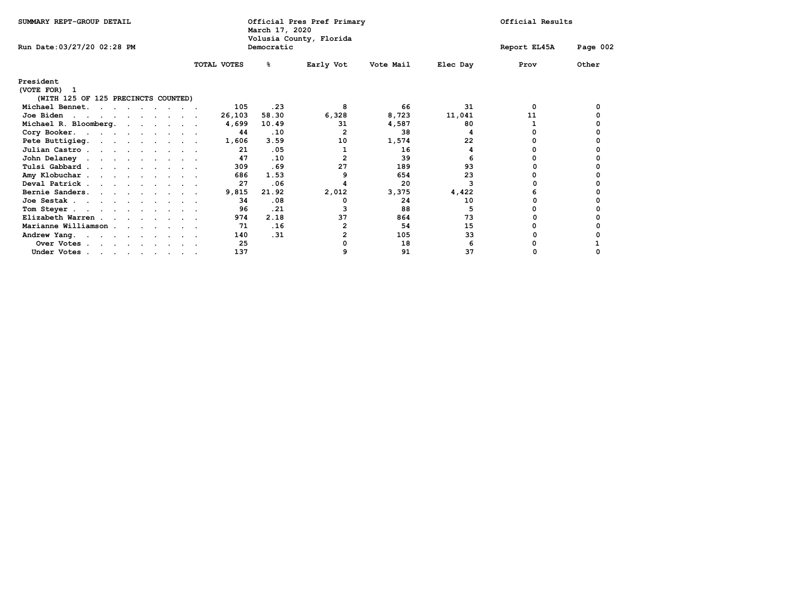| SUMMARY REPT-GROUP DETAIL                                        |                    | Official Pres Pref Primary<br>March 17, 2020<br>Volusia County, Florida |                |           |          |              | Official Results |  |  |  |
|------------------------------------------------------------------|--------------------|-------------------------------------------------------------------------|----------------|-----------|----------|--------------|------------------|--|--|--|
| Run Date: 03/27/20 02:28 PM                                      |                    | Democratic                                                              |                |           |          | Report EL45A | Page 002         |  |  |  |
|                                                                  | <b>TOTAL VOTES</b> | ℁                                                                       | Early Vot      | Vote Mail | Elec Day | Prov         | Other            |  |  |  |
| President<br>(VOTE FOR) 1<br>(WITH 125 OF 125 PRECINCTS COUNTED) |                    |                                                                         |                |           |          |              |                  |  |  |  |
| Michael Bennet.                                                  | 105                | .23                                                                     | 8              | 66        | 31       | 0            | 0                |  |  |  |
| Joe Biden                                                        | 26,103             | 58.30                                                                   | 6,328          | 8,723     | 11,041   | 11           |                  |  |  |  |
| Michael R. Bloomberg.                                            | 4,699              | 10.49                                                                   | 31             | 4,587     | 80       |              |                  |  |  |  |
| Cory Booker.                                                     | 44                 | .10                                                                     | 2              | 38        |          |              |                  |  |  |  |
| Pete Buttigieg.                                                  | 1,606              | 3.59                                                                    | 10             | 1,574     | 22       |              |                  |  |  |  |
| Julian Castro.                                                   | 21                 | .05                                                                     | 1              | 16        |          |              |                  |  |  |  |
| John Delaney                                                     | 47                 | .10                                                                     | $\overline{2}$ | 39        |          |              |                  |  |  |  |
| Tulsi Gabbard                                                    | 309                | .69                                                                     | 27             | 189       | 93       |              |                  |  |  |  |
| Amy Klobuchar                                                    | 686                | 1.53                                                                    | 9              | 654       | 23       |              |                  |  |  |  |
| Deval Patrick                                                    | 27                 | .06                                                                     | 4              | 20        |          |              |                  |  |  |  |
| Bernie Sanders.                                                  | 9,815              | 21.92                                                                   | 2,012          | 3,375     | 4,422    |              |                  |  |  |  |
| Joe Sestak                                                       | 34                 | .08                                                                     | 0              | 24        | 10       |              |                  |  |  |  |
| Tom Steyer.                                                      | 96                 | .21                                                                     |                | 88        |          |              |                  |  |  |  |
| Elizabeth Warren                                                 | 974                | 2.18                                                                    | 37             | 864       | 73       |              |                  |  |  |  |
| Marianne Williamson                                              | 71                 | .16                                                                     | 2              | 54        | 15       |              |                  |  |  |  |
| Andrew Yang.                                                     | 140                | .31                                                                     | $\overline{2}$ | 105       | 33       |              |                  |  |  |  |
| Over Votes                                                       | 25                 |                                                                         | O              | 18        | 6        |              |                  |  |  |  |
| Under Votes                                                      | 137                |                                                                         | 9              | 91        | 37       |              |                  |  |  |  |